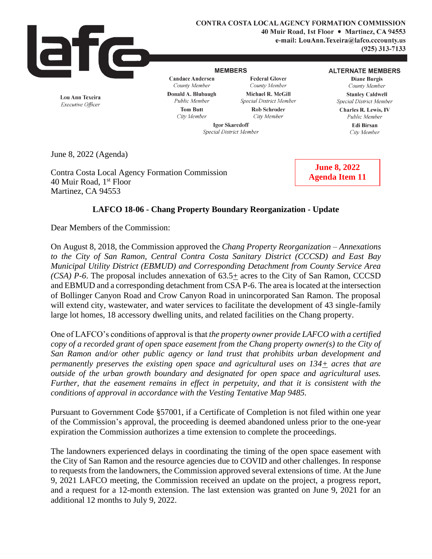

Lou Ann Texeira

Executive Officer

**CONTRA COSTA LOCAL AGENCY FORMATION COMMISSION** 40 Muir Road, 1st Floor . Martinez, CA 94553 e-mail: LouAnn.Texeira@lafco.cccounty.us  $(925)$  313-7133

## **MEMBERS**

**Candace Andersen** County Member

**Federal Glover** County Member Michael R. McGill Special District Member **Rob Schroder** 

## **ALTERNATE MEMBERS**

**Diane Burgis** County Member **Stanley Caldwell** Special District Member

Charles R. Lewis, IV

Public Member

Edi Birsan

City Member

Public Member **Tom Butt** City Member

Donald A. Blubaugh

City Member **Igor Skaredoff** 

Special District Member

June 8, 2022 (Agenda)

Contra Costa Local Agency Formation Commission 40 Muir Road, 1<sup>st</sup> Floor Martinez, CA 94553

**June 8, 2022 Agenda Item 11**

## **LAFCO 18-06 - Chang Property Boundary Reorganization - Update**

Dear Members of the Commission:

On August 8, 2018, the Commission approved the *Chang Property Reorganization – Annexations to the City of San Ramon, Central Contra Costa Sanitary District (CCCSD) and East Bay Municipal Utility District (EBMUD) and Corresponding Detachment from County Service Area (CSA) P-6*. The proposal includes annexation of 63.5+ acres to the City of San Ramon, CCCSD and EBMUD and a corresponding detachment from CSA P-6. The area is located at the intersection of Bollinger Canyon Road and Crow Canyon Road in unincorporated San Ramon. The proposal will extend city, wastewater, and water services to facilitate the development of 43 single-family large lot homes, 18 accessory dwelling units, and related facilities on the Chang property.

One of LAFCO's conditions of approval is that *the property owner provide LAFCO with a certified copy of a recorded grant of open space easement from the Chang property owner(s) to the City of San Ramon and/or other public agency or land trust that prohibits urban development and permanently preserves the existing open space and agricultural uses on 134+ acres that are outside of the urban growth boundary and designated for open space and agricultural uses. Further, that the easement remains in effect in perpetuity, and that it is consistent with the conditions of approval in accordance with the Vesting Tentative Map 9485.*

Pursuant to Government Code §57001, if a Certificate of Completion is not filed within one year of the Commission's approval, the proceeding is deemed abandoned unless prior to the one-year expiration the Commission authorizes a time extension to complete the proceedings.

The landowners experienced delays in coordinating the timing of the open space easement with the City of San Ramon and the resource agencies due to COVID and other challenges. In response to requests from the landowners, the Commission approved several extensions of time. At the June 9, 2021 LAFCO meeting, the Commission received an update on the project, a progress report, and a request for a 12-month extension. The last extension was granted on June 9, 2021 for an additional 12 months to July 9, 2022.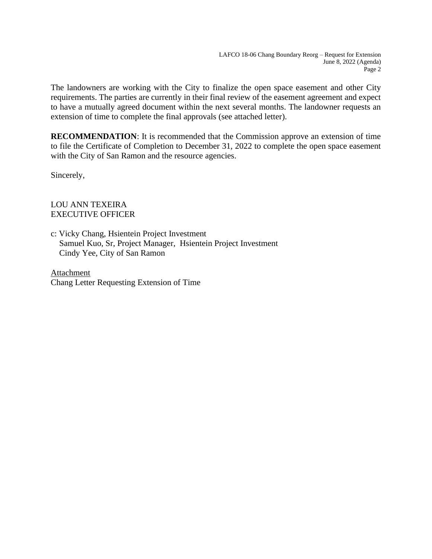The landowners are working with the City to finalize the open space easement and other City requirements. The parties are currently in their final review of the easement agreement and expect to have a mutually agreed document within the next several months. The landowner requests an extension of time to complete the final approvals (see attached letter).

**RECOMMENDATION**: It is recommended that the Commission approve an extension of time to file the Certificate of Completion to December 31, 2022 to complete the open space easement with the City of San Ramon and the resource agencies.

Sincerely,

LOU ANN TEXEIRA EXECUTIVE OFFICER

c: Vicky Chang, Hsientein Project Investment Samuel Kuo, Sr, Project Manager, Hsientein Project Investment Cindy Yee, City of San Ramon

Attachment Chang Letter Requesting Extension of Time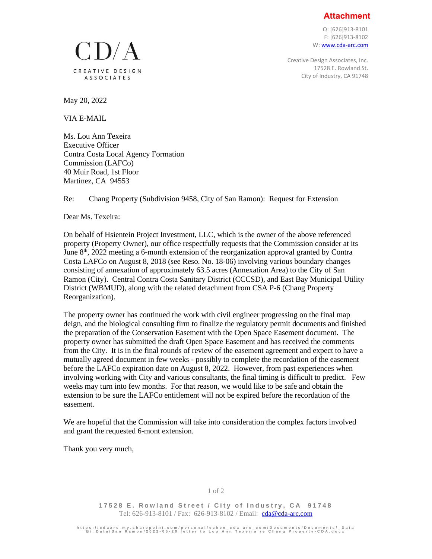**Attachment**

O: [626]913-8101 F: [626]913-8102 W: [www.cda-arc.com](http://www.cda-arc.com/)

Creative Design Associates, Inc. 17528 E. Rowland St. City of Industry, CA 91748

 $LD/A$ CREATIVE DESIGN **ASSOCIATES** 

May 20, 2022

VIA E-MAIL

Ms. Lou Ann Texeira Executive Officer Contra Costa Local Agency Formation Commission (LAFCo) 40 Muir Road, 1st Floor Martinez, CA 94553

Re: Chang Property (Subdivision 9458, City of San Ramon): Request for Extension

Dear Ms. Texeira:

On behalf of Hsientein Project Investment, LLC, which is the owner of the above referenced property (Property Owner), our office respectfully requests that the Commission consider at its June  $8<sup>th</sup>$ , 2022 meeting a 6-month extension of the reorganization approval granted by Contra Costa LAFCo on August 8, 2018 (see Reso. No. 18-06) involving various boundary changes consisting of annexation of approximately 63.5 acres (Annexation Area) to the City of San Ramon (City). Central Contra Costa Sanitary District (CCCSD), and East Bay Municipal Utility District (WBMUD), along with the related detachment from CSA P-6 (Chang Property Reorganization).

The property owner has continued the work with civil engineer progressing on the final map deign, and the biological consulting firm to finalize the regulatory permit documents and finished the preparation of the Conservation Easement with the Open Space Easement document. The property owner has submitted the draft Open Space Easement and has received the comments from the City. It is in the final rounds of review of the easement agreement and expect to have a mutually agreed document in few weeks - possibly to complete the recordation of the easement before the LAFCo expiration date on August 8, 2022. However, from past experiences when involving working with City and various consultants, the final timing is difficult to predict. Few weeks may turn into few months. For that reason, we would like to be safe and obtain the extension to be sure the LAFCo entitlement will not be expired before the recordation of the easement.

We are hopeful that the Commission will take into consideration the complex factors involved and grant the requested 6-mont extension.

Thank you very much,

17528 E. Rowland Street / City of Industry, CA 91748 Tel: 626-913-8101 / Fax: 626-913-8102 / Email: [cda@cda-arc.com](mailto:cda@cda-arc.com)